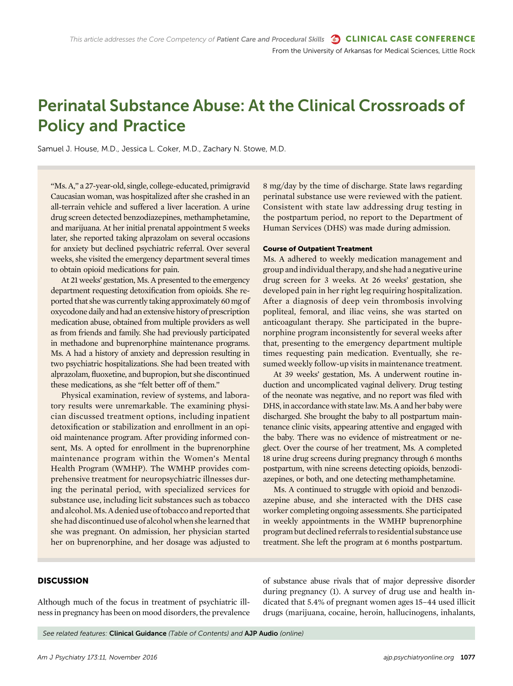# Perinatal Substance Abuse: At the Clinical Crossroads of Policy and Practice

Samuel J. House, M.D., Jessica L. Coker, M.D., Zachary N. Stowe, M.D.

"Ms. A," a 27-year-old, single, college-educated, primigravid Caucasian woman, was hospitalized after she crashed in an all-terrain vehicle and suffered a liver laceration. A urine drug screen detected benzodiazepines, methamphetamine, and marijuana. At her initial prenatal appointment 5 weeks later, she reported taking alprazolam on several occasions for anxiety but declined psychiatric referral. Over several weeks, she visited the emergency department several times to obtain opioid medications for pain.

At 21 weeks' gestation, Ms. A presented to the emergency department requesting detoxification from opioids. She reported that she was currently taking approximately 60 mg of oxycodone daily and had an extensive history of prescription medication abuse, obtained from multiple providers as well as from friends and family. She had previously participated in methadone and buprenorphine maintenance programs. Ms. A had a history of anxiety and depression resulting in two psychiatric hospitalizations. She had been treated with alprazolam, fluoxetine, and bupropion, but she discontinued these medications, as she "felt better off of them."

Physical examination, review of systems, and laboratory results were unremarkable. The examining physician discussed treatment options, including inpatient detoxification or stabilization and enrollment in an opioid maintenance program. After providing informed consent, Ms. A opted for enrollment in the buprenorphine maintenance program within the Women's Mental Health Program (WMHP). The WMHP provides comprehensive treatment for neuropsychiatric illnesses during the perinatal period, with specialized services for substance use, including licit substances such as tobacco and alcohol.Ms.A denied use of tobacco and reported that she had discontinued use of alcohol when shelearned that she was pregnant. On admission, her physician started her on buprenorphine, and her dosage was adjusted to 8 mg/day by the time of discharge. State laws regarding perinatal substance use were reviewed with the patient. Consistent with state law addressing drug testing in the postpartum period, no report to the Department of Human Services (DHS) was made during admission.

#### Course of Outpatient Treatment

Ms. A adhered to weekly medication management and group andindividual therapy, and she had a negative urine drug screen for 3 weeks. At 26 weeks' gestation, she developed pain in her right leg requiring hospitalization. After a diagnosis of deep vein thrombosis involving popliteal, femoral, and iliac veins, she was started on anticoagulant therapy. She participated in the buprenorphine program inconsistently for several weeks after that, presenting to the emergency department multiple times requesting pain medication. Eventually, she resumed weekly follow-up visits in maintenance treatment.

At 39 weeks' gestation, Ms. A underwent routine induction and uncomplicated vaginal delivery. Drug testing of the neonate was negative, and no report was filed with DHS, in accordance with state law. Ms. A and her baby were discharged. She brought the baby to all postpartum maintenance clinic visits, appearing attentive and engaged with the baby. There was no evidence of mistreatment or neglect. Over the course of her treatment, Ms. A completed 18 urine drug screens during pregnancy through 6 months postpartum, with nine screens detecting opioids, benzodiazepines, or both, and one detecting methamphetamine.

Ms. A continued to struggle with opioid and benzodiazepine abuse, and she interacted with the DHS case worker completing ongoing assessments. She participated in weekly appointments in the WMHP buprenorphine program but declined referrals to residential substance use treatment. She left the program at 6 months postpartum.

#### **DISCUSSION**

Although much of the focus in treatment of psychiatric illness in pregnancy has been on mood disorders, the prevalence of substance abuse rivals that of major depressive disorder during pregnancy (1). A survey of drug use and health indicated that 5.4% of pregnant women ages 15–44 used illicit drugs (marijuana, cocaine, heroin, hallucinogens, inhalants,

See related features: Clinical Guidance (Table of Contents) and AJP Audio (online)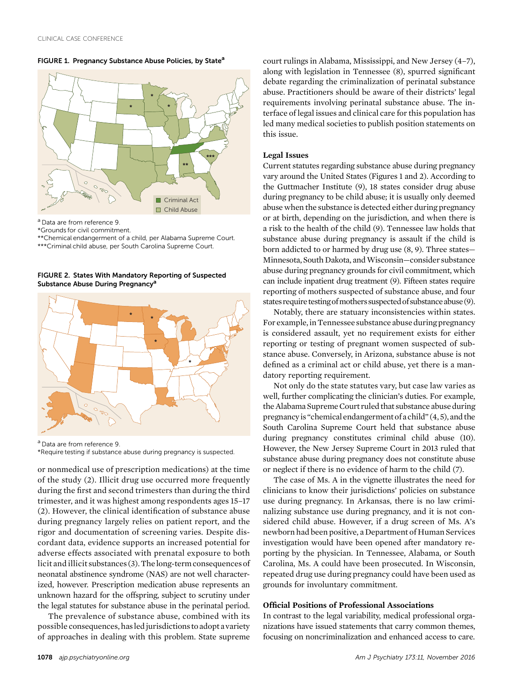FIGURE 1. Pregnancy Substance Abuse Policies, by State<sup>a</sup>



<sup>a</sup> Data are from reference 9.

\*Grounds for civil commitment.

\*\*Chemical endangerment of a child, per Alabama Supreme Court.

\*\*\*Criminal child abuse, per South Carolina Supreme Court.

FIGURE 2. States With Mandatory Reporting of Suspected Substance Abuse During Pregnancy<sup>a</sup>



<sup>a</sup> Data are from reference 9. \*Require testing if substance abuse during pregnancy is suspected.

or nonmedical use of prescription medications) at the time of the study (2). Illicit drug use occurred more frequently during the first and second trimesters than during the third trimester, and it was highest among respondents ages 15–17 (2). However, the clinical identification of substance abuse during pregnancy largely relies on patient report, and the rigor and documentation of screening varies. Despite discordant data, evidence supports an increased potential for adverse effects associated with prenatal exposure to both licit and illicit substances (3). The long-term consequences of neonatal abstinence syndrome (NAS) are not well characterized, however. Prescription medication abuse represents an unknown hazard for the offspring, subject to scrutiny under the legal statutes for substance abuse in the perinatal period.

The prevalence of substance abuse, combined with its possible consequences, hasledjurisdictions to adopt avariety of approaches in dealing with this problem. State supreme

court rulings in Alabama, Mississippi, and New Jersey (4–7), along with legislation in Tennessee (8), spurred significant debate regarding the criminalization of perinatal substance abuse. Practitioners should be aware of their districts' legal requirements involving perinatal substance abuse. The interface of legal issues and clinical care for this population has led many medical societies to publish position statements on this issue.

#### Legal Issues

Current statutes regarding substance abuse during pregnancy vary around the United States (Figures 1 and 2). According to the Guttmacher Institute (9), 18 states consider drug abuse during pregnancy to be child abuse; it is usually only deemed abuse when the substance is detected either during pregnancy or at birth, depending on the jurisdiction, and when there is a risk to the health of the child (9). Tennessee law holds that substance abuse during pregnancy is assault if the child is born addicted to or harmed by drug use (8, 9). Three states— Minnesota, South Dakota, and Wisconsin-consider substance abuse during pregnancy grounds for civil commitment, which can include inpatient drug treatment (9). Fifteen states require reporting of mothers suspected of substance abuse, and four states require testing of mothers suspected of substance abuse (9).

Notably, there are statuary inconsistencies within states. For example, in Tennessee substance abuse during pregnancy is considered assault, yet no requirement exists for either reporting or testing of pregnant women suspected of substance abuse. Conversely, in Arizona, substance abuse is not defined as a criminal act or child abuse, yet there is a mandatory reporting requirement.

Not only do the state statutes vary, but case law varies as well, further complicating the clinician's duties. For example, the Alabama Supreme Court ruled that substance abuse during pregnancyis "chemical endangerment ofa child" (4, 5), and the South Carolina Supreme Court held that substance abuse during pregnancy constitutes criminal child abuse (10). However, the New Jersey Supreme Court in 2013 ruled that substance abuse during pregnancy does not constitute abuse or neglect if there is no evidence of harm to the child (7).

The case of Ms. A in the vignette illustrates the need for clinicians to know their jurisdictions' policies on substance use during pregnancy. In Arkansas, there is no law criminalizing substance use during pregnancy, and it is not considered child abuse. However, if a drug screen of Ms. A's newborn had been positive, a Department of Human Services investigation would have been opened after mandatory reporting by the physician. In Tennessee, Alabama, or South Carolina, Ms. A could have been prosecuted. In Wisconsin, repeated drug use during pregnancy could have been used as grounds for involuntary commitment.

# Official Positions of Professional Associations

In contrast to the legal variability, medical professional organizations have issued statements that carry common themes, focusing on noncriminalization and enhanced access to care.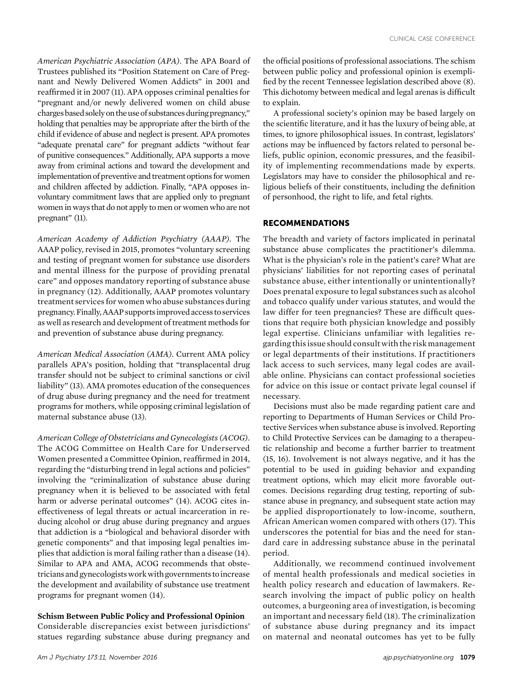American Psychiatric Association (APA). The APA Board of Trustees published its "Position Statement on Care of Pregnant and Newly Delivered Women Addicts" in 2001 and reaffirmed it in 2007 (11). APA opposes criminal penalties for "pregnant and/or newly delivered women on child abuse charges based solely on the use of substances during pregnancy," holding that penalties may be appropriate after the birth of the child if evidence of abuse and neglect is present. APA promotes "adequate prenatal care" for pregnant addicts "without fear of punitive consequences." Additionally, APA supports a move away from criminal actions and toward the development and implementation of preventive and treatment options for women and children affected by addiction. Finally, "APA opposes involuntary commitment laws that are applied only to pregnant women in ways that do not apply to men or women who are not pregnant" (11).

American Academy of Addiction Psychiatry (AAAP). The AAAP policy, revised in 2015, promotes "voluntary screening and testing of pregnant women for substance use disorders and mental illness for the purpose of providing prenatal care" and opposes mandatory reporting of substance abuse in pregnancy (12). Additionally, AAAP promotes voluntary treatment services for women who abuse substances during pregnancy. Finally,AAAP supportsimproved access to services as well as research and development of treatment methods for and prevention of substance abuse during pregnancy.

American Medical Association (AMA). Current AMA policy parallels APA's position, holding that "transplacental drug transfer should not be subject to criminal sanctions or civil liability" (13). AMA promotes education of the consequences of drug abuse during pregnancy and the need for treatment programs for mothers, while opposing criminal legislation of maternal substance abuse (13).

American College of Obstetricians and Gynecologists (ACOG). The ACOG Committee on Health Care for Underserved Women presented a Committee Opinion, reaffirmed in 2014, regarding the "disturbing trend in legal actions and policies" involving the "criminalization of substance abuse during pregnancy when it is believed to be associated with fetal harm or adverse perinatal outcomes" (14). ACOG cites ineffectiveness of legal threats or actual incarceration in reducing alcohol or drug abuse during pregnancy and argues that addiction is a "biological and behavioral disorder with genetic components" and that imposing legal penalties implies that addiction is moral failing rather than a disease (14). Similar to APA and AMA, ACOG recommends that obstetricians and gynecologists workwith governments toincrease the development and availability of substance use treatment programs for pregnant women (14).

# Schism Between Public Policy and Professional Opinion

Considerable discrepancies exist between jurisdictions' statues regarding substance abuse during pregnancy and

the official positions of professional associations. The schism between public policy and professional opinion is exemplified by the recent Tennessee legislation described above (8). This dichotomy between medical and legal arenas is difficult to explain.

A professional society's opinion may be based largely on the scientific literature, and it has the luxury of being able, at times, to ignore philosophical issues. In contrast, legislators' actions may be influenced by factors related to personal beliefs, public opinion, economic pressures, and the feasibility of implementing recommendations made by experts. Legislators may have to consider the philosophical and religious beliefs of their constituents, including the definition of personhood, the right to life, and fetal rights.

## RECOMMENDATIONS

The breadth and variety of factors implicated in perinatal substance abuse complicates the practitioner's dilemma. What is the physician's role in the patient's care? What are physicians' liabilities for not reporting cases of perinatal substance abuse, either intentionally or unintentionally? Does prenatal exposure to legal substances such as alcohol and tobacco qualify under various statutes, and would the law differ for teen pregnancies? These are difficult questions that require both physician knowledge and possibly legal expertise. Clinicians unfamiliar with legalities regarding thisissue should consult with the riskmanagement or legal departments of their institutions. If practitioners lack access to such services, many legal codes are available online. Physicians can contact professional societies for advice on this issue or contact private legal counsel if necessary.

Decisions must also be made regarding patient care and reporting to Departments of Human Services or Child Protective Services when substance abuse is involved. Reporting to Child Protective Services can be damaging to a therapeutic relationship and become a further barrier to treatment (15, 16). Involvement is not always negative, and it has the potential to be used in guiding behavior and expanding treatment options, which may elicit more favorable outcomes. Decisions regarding drug testing, reporting of substance abuse in pregnancy, and subsequent state action may be applied disproportionately to low-income, southern, African American women compared with others (17). This underscores the potential for bias and the need for standard care in addressing substance abuse in the perinatal period.

Additionally, we recommend continued involvement of mental health professionals and medical societies in health policy research and education of lawmakers. Research involving the impact of public policy on health outcomes, a burgeoning area of investigation, is becoming an important and necessary field (18). The criminalization of substance abuse during pregnancy and its impact on maternal and neonatal outcomes has yet to be fully